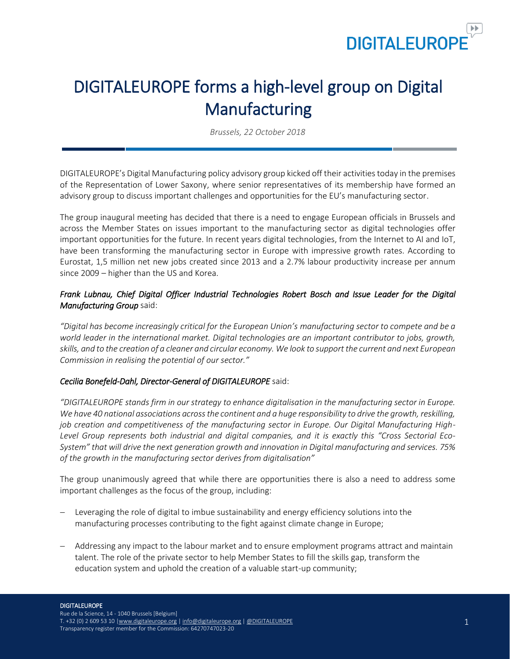

# DIGITALEUROPE forms a high-level group on Digital Manufacturing

*Brussels, 22 October 2018*

DIGITALEUROPE's Digital Manufacturing policy advisory group kicked off their activities today in the premises of the Representation of Lower Saxony, where senior representatives of its membership have formed an advisory group to discuss important challenges and opportunities for the EU's manufacturing sector.

The group inaugural meeting has decided that there is a need to engage European officials in Brussels and across the Member States on issues important to the manufacturing sector as digital technologies offer important opportunities for the future. In recent years digital technologies, from the Internet to AI and IoT, have been transforming the manufacturing sector in Europe with impressive growth rates. According to Eurostat, 1,5 million net new jobs created since 2013 and a 2.7% labour productivity increase per annum since 2009 – higher than the US and Korea.

### *Frank Lubnau, Chief Digital Officer Industrial Technologies Robert Bosch and Issue Leader for the Digital Manufacturing Group* said:

*"Digital has become increasingly critical for the European Union's manufacturing sector to compete and be a world leader in the international market. Digital technologies are an important contributor to jobs, growth, skills, and to the creation of a cleaner and circular economy. We look to support the current and next European Commission in realising the potential of our sector."*

#### *Cecilia Bonefeld-Dahl, Director-General of DIGITALEUROPE* said:

*"DIGITALEUROPE stands firm in our strategy to enhance digitalisation in the manufacturing sector in Europe. We have 40 national associations across the continent and a huge responsibility to drive the growth, reskilling, job creation and competitiveness of the manufacturing sector in Europe. Our Digital Manufacturing High-Level Group represents both industrial and digital companies, and it is exactly this "Cross Sectorial Eco-System" that will drive the next generation growth and innovation in Digital manufacturing and services. 75% of the growth in the manufacturing sector derives from digitalisation"*

The group unanimously agreed that while there are opportunities there is also a need to address some important challenges as the focus of the group, including:

- Leveraging the role of digital to imbue sustainability and energy efficiency solutions into the manufacturing processes contributing to the fight against climate change in Europe;
- − Addressing any impact to the labour market and to ensure employment programs attract and maintain talent. The role of the private sector to help Member States to fill the skills gap, transform the education system and uphold the creation of a valuable start-up community;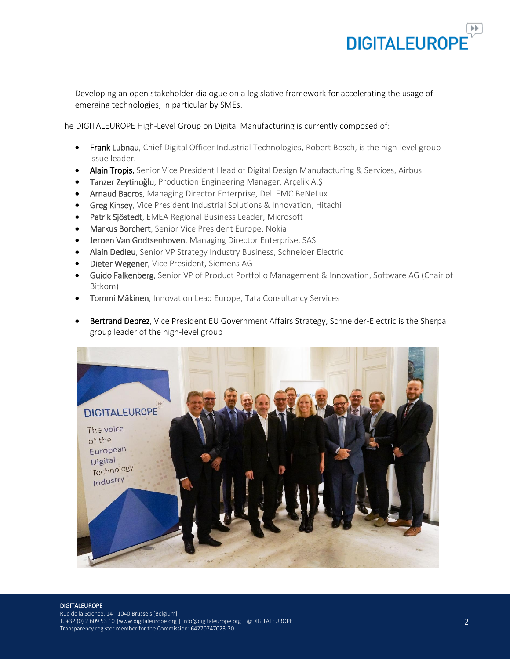

Developing an open stakeholder dialogue on a legislative framework for accelerating the usage of emerging technologies, in particular by SMEs.

The DIGITALEUROPE High-Level Group on Digital Manufacturing is currently composed of:

- Frank Lubnau, Chief Digital Officer Industrial Technologies, Robert Bosch, is the high-level group issue leader.
- Alain Tropis, Senior Vice President Head of Digital Design Manufacturing & Services, Airbus
- Tanzer Zeytinoğlu, Production Engineering Manager, Arçelik A.Ş
- Arnaud Bacros, Managing Director Enterprise, Dell EMC BeNeLux
- **Greg Kinsey,** Vice President Industrial Solutions & Innovation, Hitachi
- Patrik Sjöstedt, EMEA Regional Business Leader, Microsoft
- Markus Borchert, Senior Vice President Europe, Nokia
- Jeroen Van Godtsenhoven, Managing Director Enterprise, SAS
- Alain Dedieu, Senior VP Strategy Industry Business, Schneider Electric
- Dieter Wegener, Vice President, Siemens AG
- Guido Falkenberg, Senior VP of Product Portfolio Management & Innovation, Software AG (Chair of Bitkom)
- Tommi Mäkinen, Innovation Lead Europe, Tata Consultancy Services
- Bertrand Deprez, Vice President EU Government Affairs Strategy, Schneider-Electric is the Sherpa group leader of the high-level group